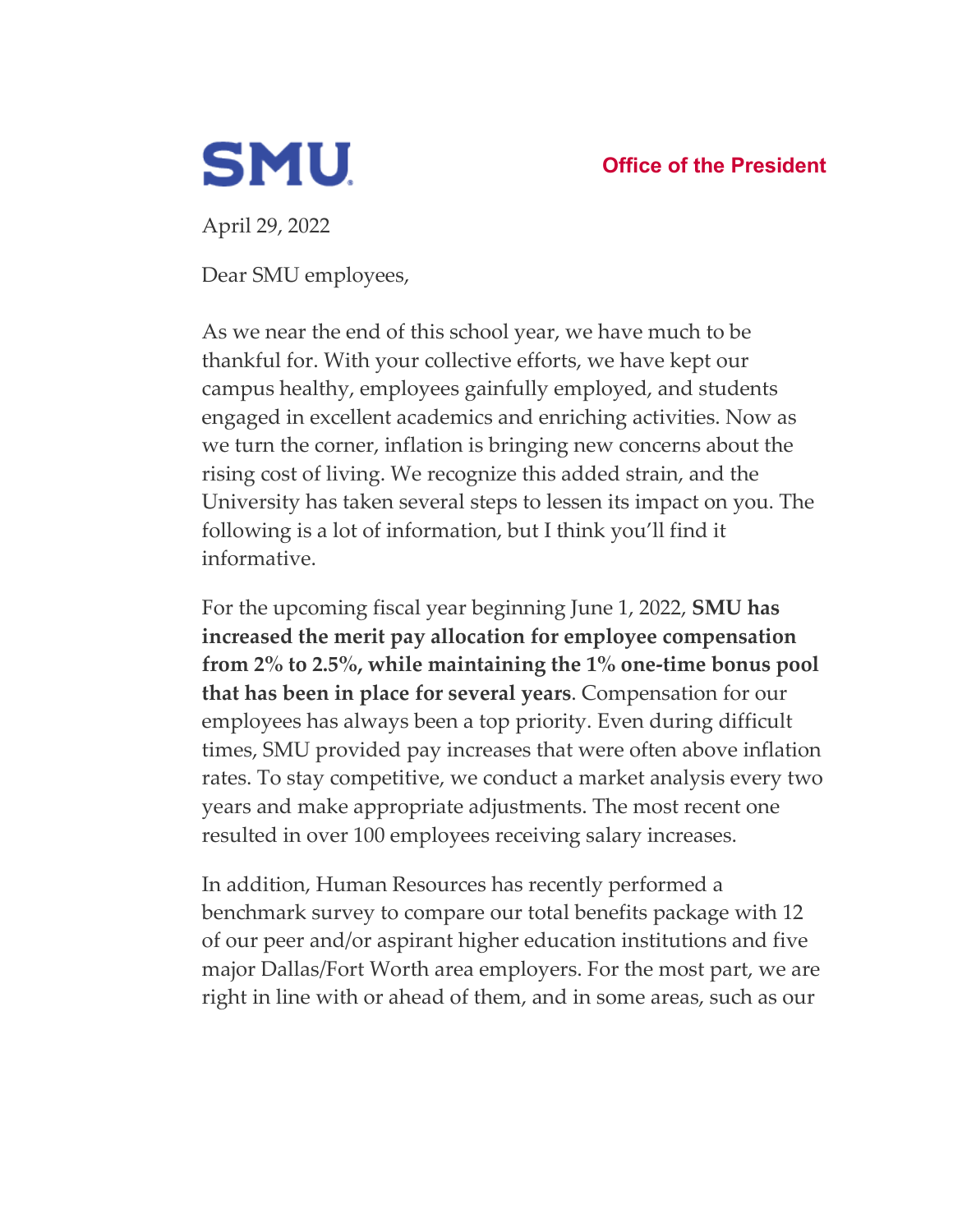

**Office of the President**

April 29, 2022

Dear SMU employees,

As we near the end of this school year, we have much to be thankful for. With your collective efforts, we have kept our campus healthy, employees gainfully employed, and students engaged in excellent academics and enriching activities. Now as we turn the corner, inflation is bringing new concerns about the rising cost of living. We recognize this added strain, and the University has taken several steps to lessen its impact on you. The following is a lot of information, but I think you'll find it informative.

For the upcoming fiscal year beginning June 1, 2022, **SMU has increased the merit pay allocation for employee compensation from 2% to 2.5%, while maintaining the 1% one-time bonus pool that has been in place for several years**. Compensation for our employees has always been a top priority. Even during difficult times, SMU provided pay increases that were often above inflation rates. To stay competitive, we conduct a market analysis every two years and make appropriate adjustments. The most recent one resulted in over 100 employees receiving salary increases.

In addition, Human Resources has recently performed a benchmark survey to compare our total benefits package with 12 of our peer and/or aspirant higher education institutions and five major Dallas/Fort Worth area employers. For the most part, we are right in line with or ahead of them, and in some areas, such as our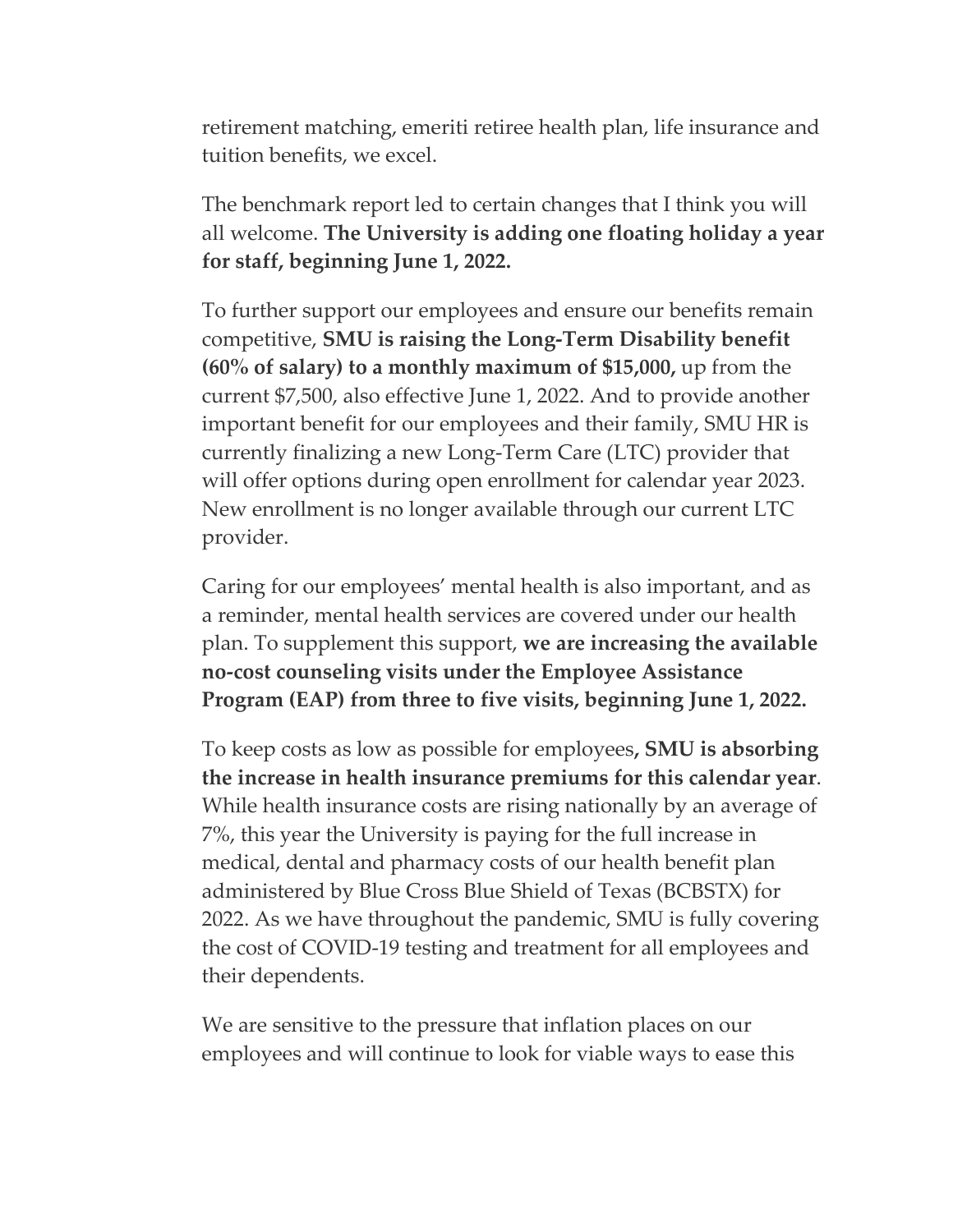retirement matching, emeriti retiree health plan, life insurance and tuition benefits, we excel.

The benchmark report led to certain changes that I think you will all welcome. **The University is adding one floating holiday a year for staff, beginning June 1, 2022.**

To further support our employees and ensure our benefits remain competitive, **SMU is raising the Long-Term Disability benefit (60% of salary) to a monthly maximum of \$15,000,** up from the current \$7,500, also effective June 1, 2022. And to provide another important benefit for our employees and their family, SMU HR is currently finalizing a new Long-Term Care (LTC) provider that will offer options during open enrollment for calendar year 2023. New enrollment is no longer available through our current LTC provider.

Caring for our employees' mental health is also important, and as a reminder, mental health services are covered under our health plan. To supplement this support, **we are increasing the available no-cost counseling visits under the Employee Assistance Program (EAP) from three to five visits, beginning June 1, 2022.** 

To keep costs as low as possible for employees**, SMU is absorbing the increase in health insurance premiums for this calendar year**. While health insurance costs are rising nationally by an average of 7%, this year the University is paying for the full increase in medical, dental and pharmacy costs of our health benefit plan administered by Blue Cross Blue Shield of Texas (BCBSTX) for 2022. As we have throughout the pandemic, SMU is fully covering the cost of COVID-19 testing and treatment for all employees and their dependents.

We are sensitive to the pressure that inflation places on our employees and will continue to look for viable ways to ease this